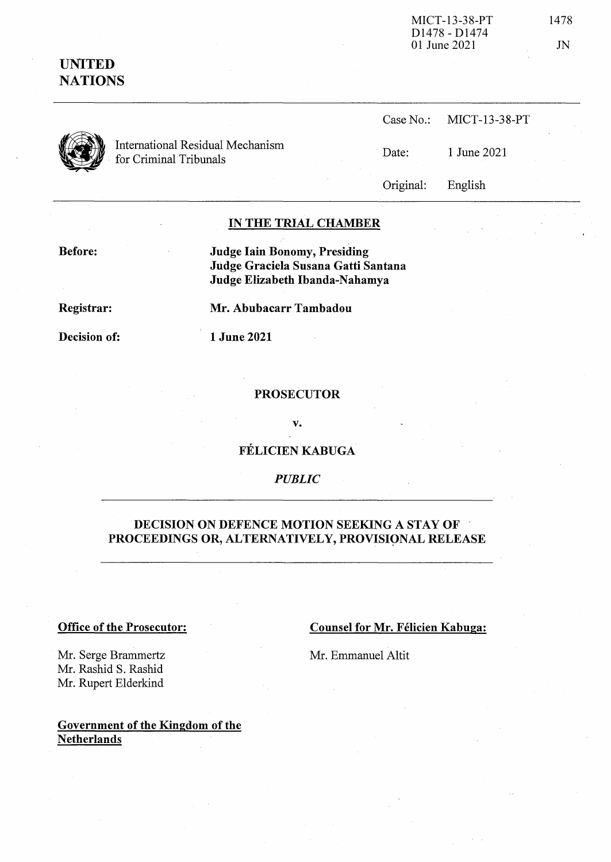| MICT-13-38-PT                         | 1478 |
|---------------------------------------|------|
| D <sub>1478</sub> - D <sub>1474</sub> |      |
| 01 June 2021                          | JN   |

Case No.: MICT-13-38-PT

| <b>UNITED</b>  |
|----------------|
| <b>NATIONS</b> |



Case No.: MICT-13-3<br>
International Residual Mechanism *Date:* 1 June 2021<br>
1 June 2021

Original: English

# IN THE TRIAL CHAMBER

Before:

Judge lain Bonomy, Presiding Judge Graciela Susana Gatti Santana Judge Elizabeth Ibanda-Nahamya

Registrar:

Mr. Abubacarr Tambadou

Decision of:

1 June 2021

## PROSECUTOR

v.

FELICIEN KABUGA

*PUBLIC*

# DECISION ON DEFENCE MOTION SEEKING A STAY OF PROCEEDINGS OR, ALTERNATIVELY, PROVISIONAL RELEASE

## Office of the Prosecutor:

Counsel for Mr. Félicien Kabuga:

Mr. Emmanuel Altit

Mr. Serge Brammertz Mr. Rashid S. Rashid Mr. Rupert Elderkind

# Government of the Kingdom of the **Netherlands**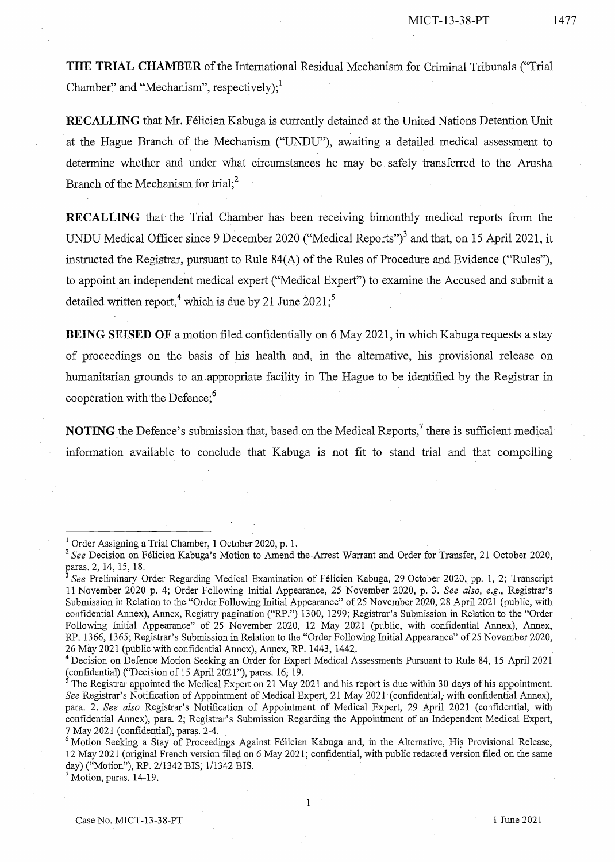**THE TRIAL CHAMBER** of the International Residual Mechanism for Criminal Tribunals ("Trial Chamber" and "Mechanism", respectively); $^1$ 

RECALLING that Mr. Félicien Kabuga is currently detained at the United Nations Detention Unit at the Hague Branch of the Mechanism ("UNDU"), awaiting a detailed medical assessment to determine whether and under what circumstances he may be safely transferred to the Arusha Branch of the Mechanism for trial;<sup>2</sup>

**RECALLING** that' the Trial Chamber has been receiving bimonthly medical reports from the UNDU Medical Officer since 9 December 2020 ("Medical Reports")<sup>3</sup> and that, on 15 April 2021, it instructed the Registrar, pursuant to Rule  $84(A)$  of the Rules of Procedure and Evidence ("Rules"), to appoint an independent medical expert ("Medical Expert") to examine the Accused and submit a detailed written report,<sup>4</sup> which is due by 21 June  $2021$ ;<sup>5</sup>

**BEING SEISED OF** a motion filed confidentially on 6 May 2021, in which Kabuga requests a stay of proceedings on the basis of his health and, in the alternative, his provisional release on humanitarian grounds to an appropriate facility in The Hague to be identified by the Registrar in cooperation with the Defence; $<sup>6</sup>$ </sup>

**NOTING** the Defence's submission that, based on the Medical Reports,<sup>7</sup> there is sufficient medical information available to conclude that Kabuga is not fit to stand trial and that compelling

1

 $^7$  Motion, paras. 14-19.

<sup>&</sup>lt;sup>1</sup> Order Assigning a Trial Chamber, 1 October 2020, p. 1.

<sup>&</sup>lt;sup>2</sup> See Decision on Félicien Kabuga's Motion to Amend the Arrest Warrant and Order for Transfer, 21 October 2020, paras. 2,14, 15, 18. "

*<sup>3</sup> See* Preliminary Order Regarding Medical Examination of Felicien Kabuga, 29 October 2020, pp. 1, 2; Transcript 11 November 2020 p. 4; Order Following Initial Appearance, 25 November 2020, p. 3. *See also, e.g.,* Registrar's Submission in Relation to the "Order Following Initial Appearance" of 25 November 2020, 28 April 2021 (public, with confidential Annex), Annex, Registry pagination ("RP.") 1300, 1299; Registrar's Submission in Relation to the "Order Following Initial Appearance" of 25 November 2020, 12 May 2021 (public, with confidential Annex), Annex, RP. 1366, 1365; Registrar's Submission in Relation to the "Order Following Initial Appearance" of 25 November 2020, 26 May 2021 (public with confidential Annex), Annex, RP. 1443, 1442.

<sup>&</sup>lt;sup>4</sup> Decision on Defence Motion Seeking an Order for Expert Medical Assessments Pursuant to Rule 84, 15 April 2021 (confidential) ("Decision of 15 April 2021"), paras. 16; 19.

 $\frac{3}{5}$  The Registrar appointed the Medical Expert on 21 May 2021 and his report is due within 30 days of his appointment. *See* Registrar's Notification of Appointment of Medical Expert, 21 May 2021 (confidential, with confidential Annex), para. 2. *See also* Registrar's Notification of Appointment of Medical Expert, 29 April 2021 (confidential, with confidential Annex), para. 2; Registrar's Submission Regarding the Appointment of an Independent Medical Expert, 7 May 2021 (confidential), paras. 2-4.

<sup>&</sup>lt;sup>6</sup> Motion Seeking a Stay of Proceedings Against Félicien Kabuga and, in the Alternative, His Provisional Release, 12 May 2021 (original French version filed on 6 May 2021; confidential, with public redacted version filed on the same day) ("Motion"), RP. 2/1342 BIS, 1/1342 BIS.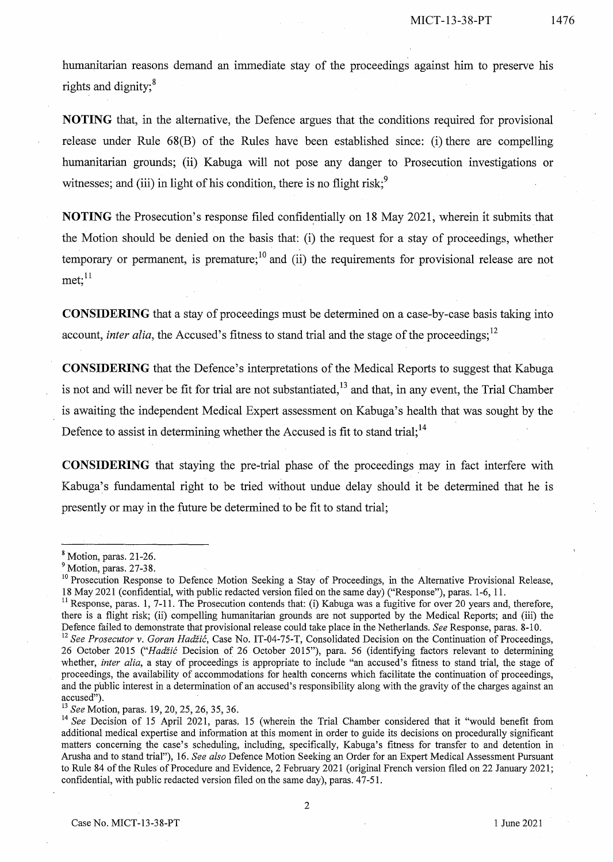humanitarian reasons demand an immediate stay of the proceedings against him to preserve his rights and dignity;<sup>8</sup>

**NOTING** that, in the alternative, the Defence argues that the conditions required for provisional release under Rule 68(B) of the Rules have been established since: (i) there are compelling humanitarian grounds; (ii) Kabuga will not pose any danger to Prosecution investigations or witnesses; and (iii) in light of his condition, there is no flight risk;<sup>9</sup>

**NOTING** the Prosecution's response filed confidentially on 18 May 2021, wherein it submits that the Motion should be denied on the basis that: (i) the request for a stay of proceedings, whether temporary or permanent, is premature;  $\frac{10}{10}$  and (ii) the requirements for provisional release are not  $met:$ <sup>11</sup>

**CONSIDERING** that a stay of proceedings must be determined on a case-by-case basis taking into account, *inter alia*, the Accused's fitness to stand trial and the stage of the proceedings;  $12$ 

**CONSIDERING** that the Defence's interpretations of the Medical Reports to suggest that Kabuga is not and will never be fit for trial are not substantiated,  $^{13}$  and that, in any event, the Trial Chamber is awaiting the independent Medical Expert assessment on Kabuga's health that was sought by the Defence to assist in determining whether the Accused is fit to stand trial;  $14$ 

**CONSIDERING** that staying the pre-trial phase of the proceedings may in fact interfere with Kabuga's fundamental right to be tried without undue delay should it be determined that he is presently or may in the future be determined to be fit to stand trial;

<sup>13</sup> *See* Motion, paras. 19,20,25,26, 35, 36.

<sup>8</sup> Motion, paras. 21-26.

<sup>&</sup>lt;sup>9</sup> Motion, paras. 27-38.

<sup>&</sup>lt;sup>10</sup> Prosecution Response to Defence Motion Seeking a Stay of Proceedings, in the Alternative Provisional Release, 18 May 2021 (confidential, with public redacted version filed on the same day) ("Response"), paras. 1-6, 11.

<sup>&</sup>lt;sup>11</sup> Response, paras. 1, 7-11. The Prosecution contends that: (i) Kabuga was a fugitive for over 20 years and, therefore, there is a flight risk; (ii) compelling humanitarian grounds are not supported by the Medical Reports; and (iii) the Defence failed to demonstrate that provisional release could take place in the Netherlands. *See* Response, paras. 8-10.

<sup>12</sup> *See Prosecutor* v. *Goran Hadzic,* Case No. IT-04-75-T, Consolidated Decision on the Continuation of Proceedings, 26 October 2015 *("Hadiic* Decision of 26 October 2015"), para. 56 (identifying factors relevant to determining whether, *inter alia,* a stay of proceedings is appropriate to include "an accused's fitness to stand trial, the stage of proceedings, the availability of accommodations for health concerns which facilitate the continuation of proceedings, and the public interest in a determination of an accused's responsibility along with the gravity of the charges against an accused").

<sup>&</sup>lt;sup>14</sup> See Decision of 15 April 2021, paras. 15 (wherein the Trial Chamber considered that it "would benefit from additional medical expertise and information at this moment in order to guide its decisions on procedurally significant matters concerning the case's scheduling, including, specifically, Kabuga's fitness for transfer to and detention in Arusha and to stand trial"), 16. *See also* Defence Motion Seeking an Order for an Expert Medical Assessment Pursuant to Rule 84 of the Rules of Procedure and Evidence, 2 February 2021 (original French version filed on 22 January 2021; confidential, with public redacted version filed on the same day), paras. 47-51.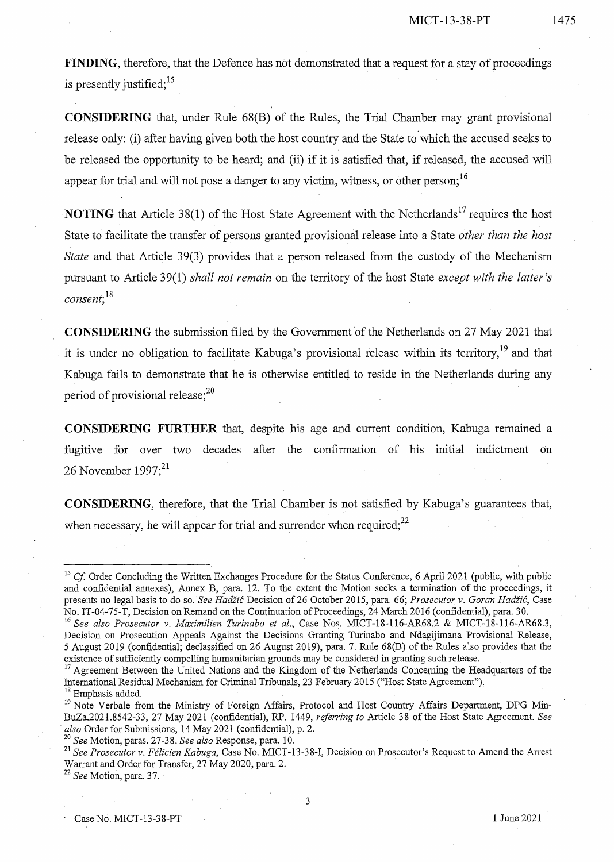**FINDING**, therefore, that the Defence has not demonstrated that a request for a stay of proceedings is presently justified;  $15$ 

**CONSIDERING** that, under Rule 68(B) of the Rules, the Trial Chamber may grant provisional release only: (i) after having given both the host country and the State to which the accused seeks to be released the opportunity to be heard; and (ii) if it is satisfied that, if released, the accused will appear for trial and will not pose a danger to any victim, witness, or other person:<sup>16</sup>

**NOTING** that Article 38(1) of the Host State Agreement with the Netherlands<sup>17</sup> requires the host State to facilitate the transfer of persons granted provisional release into a State *other than the host State* and that Article 39(3) provides that a person released from the custody of the Mechanism pursuant to Article 39(1) *shall not remain* on the territory of the host State *except with the latter's consent;18*

**CONSIDERING** the submission filed by the Government of the Netherlands on 27 May 2021 that it is under no obligation to facilitate Kabuga's provisional release within its territory.<sup>19</sup> and that Kabuga fails to demonstrate that he is otherwise entitled to reside in the Netherlands during any period of provisional release; $^{20}$ 

**CONSIDERING FURTHER** that, despite his age and current condition, Kabuga remained a fugitive for over two decades after the confirmation of his initial indictment on 26 November 1997;<sup>21</sup>

**CONSIDERING,** therefore, that the Trial Chamber is not satisfied by Kabuga's guarantees that, when necessary, he will appear for trial and surrender when required; $^{22}$ 

3

<sup>&</sup>lt;sup>15</sup> *Cf*. Order Concluding the Written Exchanges Procedure for the Status Conference, 6 April 2021 (public, with public and confidential annexes), Annex B, para. 12. To the extent the Motion seeks a termination of the proceedings, it presents no legal basis to do so. *See Hadiic* Decision of26 October 2015, para. 66; *Prosecutor,* v. *Goran* Hadiic, Case No. IT-04-75-T, Decision on Remand on the Continuation of Proceedings, 24 March 2016 (confidential), para. 30.

*<sup>16</sup> See also Prosecutor* v. *Maximilien Turinabo et al.,* Case Nos. MICT-18-116-AR68.2 & MICT-18-116-AR68.3, Decision on Prosecution Appeals Against the Decisions Granting Turinabo and Ndagijimana Provisional Release, 5 August 2019 (confidential; declassified on 26 August 2019), para. 7. Rule 68(B) of the Rules also provides that the existence of sufficiently compelling humanitarian grounds may be considered in granting such release.

<sup>&</sup>lt;sup>17</sup> Agreement Between the United Nations and the Kingdom of the Netherlands Concerning the Headquarters of the International Residual Mechanism for Criminal Tribunals, 23 February 2015 ("Host State Agreement'}

<sup>&</sup>lt;sup>18</sup> Emphasis added.

<sup>&</sup>lt;sup>19</sup> Note Verbale from the Ministry of Foreign Affairs, Protocol and Host Country Affairs Department, DPG Min-BuZa.2021.8542-33, 27 May 2021 (confidential), RP. 1449, *referring to* Article 38 of the Host State Agreement. *See . also* Order for Submissions, 14 May 2021 (confidential), p. 2.

*<sup>20</sup> See* Motion, paras. 27-38. *See also* Response, para. 10.

<sup>21</sup> *See Prosecutor* v. *Felicien Kabuga,* Case No. MICT-13-38-I, Decision on Prosecutor's Request to Amend the Arrest Warrant and Order for Transfer, 27 May 2020, para. 2.

<sup>22</sup> *See* Motion, para. 37.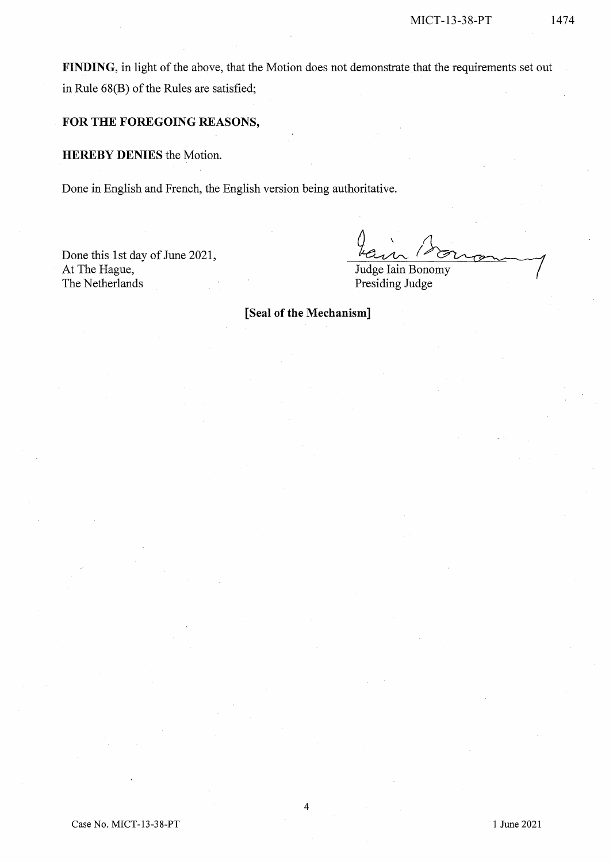FINDING, in light of the above, that the Motion does not demonstrate that the requirements set out in Rule  $68(B)$  of the Rules are satisfied;

## **FOR THE FOREGOING REASONS,**

**HEREBY DENIES** the Motion.

Done in English and French, the English version being authoritative.

Done this 1st day of June 2021, At The Hague, The Netherlands

 $\theta$ 

Judge Iain Bonomy Presiding Judge

**[Seal** of the **Mechanism]**